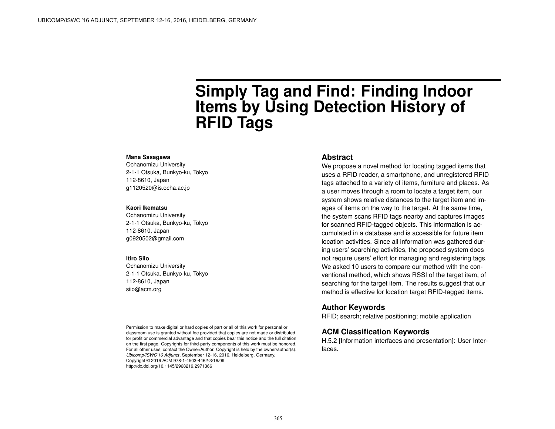# **Simply Tag and Find: Finding Indoor Items by Using Detection History of RFID Tags**

#### **Mana Sasagawa**

Ochanomizu University 2-1-1 Otsuka, Bunkyo-ku, Tokyo 112-8610, Japan g1120520@is.ocha.ac.jp

#### **Kaori Ikematsu**

Ochanomizu University 2-1-1 Otsuka, Bunkyo-ku, Tokyo 112-8610, Japan g0920502@gmail.com

#### **Itiro Siio**

Ochanomizu University 2-1-1 Otsuka, Bunkyo-ku, Tokyo 112-8610, Japan siio@acm.org

Permission to make digital or hard copies of part or all of this work for personal or classroom use is granted without fee provided that copies are not made or distributed for profit or commercial advantage and that copies bear this notice and the full citation on the first page. Copyrights for third-party components of this work must be honored. For all other uses, contact the Owner/Author. Copyright is held by the owner/author(s). *Ubicomp/ISWC'16 Adjunct*, September 12-16, 2016, Heidelberg, Germany. Copyright © 2016 ACM 978-1-4503-4462-3/16/09 http://dx.doi.org/10.1145/2968219.2971366

#### **Abstract**

We propose a novel method for locating tagged items that uses a RFID reader, a smartphone, and unregistered RFID tags attached to a variety of items, furniture and places. As a user moves through a room to locate a target item, our system shows relative distances to the target item and images of items on the way to the target. At the same time, the system scans RFID tags nearby and captures images for scanned RFID-tagged objects. This information is accumulated in a database and is accessible for future item location activities. Since all information was gathered during users' searching activities, the proposed system does not require users' effort for managing and registering tags. We asked 10 users to compare our method with the conventional method, which shows RSSI of the target item, of searching for the target item. The results suggest that our method is effective for location target RFID-tagged items.

#### **Author Keywords**

RFID; search; relative positioning; mobile application

## **ACM Classification Keywords**

H.5.2 [Information interfaces and presentation]: User Interfaces.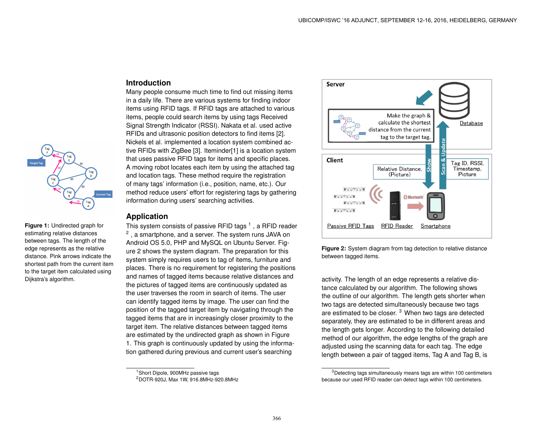## **Introduction**

Many people consume much time to find out missing items in a daily life. There are various systems for finding indoor items using RFID tags. If RFID tags are attached to various items, people could search items by using tags Received Signal Strength Indicator (RSSI). Nakata et al. used active RFIDs and ultrasonic position detectors to find items [\[2\]](#page-3-0). Nickels et al. implemented a location system combined active RFIDs with ZigBee [\[3\]](#page-3-1). Iteminder[\[1\]](#page-3-2) is a location system that uses passive RFID tags for items and specific places. A moving robot locates each item by using the attached tag and location tags. These method require the registration of many tags' information (i.e., position, name, etc.). Our method reduce users' effort for registering tags by gathering information during users' searching activities.

## **Application**

<span id="page-1-3"></span>**Figure 1:** Undirected graph for estimating relative distances between tags. The length of the edge represents as the relative distance. Pink arrows indicate the shortest path from the current item to the target item calculated using

Dijkstra's algorithm.

This system consists of passive RFID tags  $^1$  $^1$  , a RFID reader  $^2$  $^2$  , a smartphone, and a server. The system runs JAVA on Android OS 5.0, PHP and MySQL on Ubuntu Server. Figure [2](#page-1-2) shows the system diagram. The preparation for this system simply requires users to tag of items, furniture and places. There is no requirement for registering the positions and names of tagged items because relative distances and the pictures of tagged items are continuously updated as the user traverses the room in search of items. The user can identify tagged items by image. The user can find the position of the tagged target item by navigating through the tagged items that are in increasingly closer proximity to the target item. The relative distances between tagged items are estimated by the undirected graph as shown in Figure [1.](#page-1-3) This graph is continuously updated by using the information gathered during previous and current user's searching

<span id="page-1-2"></span>



activity. The length of an edge represents a relative distance calculated by our algorithm. The following shows the outline of our algorithm. The length gets shorter when two tags are detected simultaneously because two tags are estimated to be closer.<sup>[3](#page-1-4)</sup> When two tags are detected separately, they are estimated to be in different areas and the length gets longer. According to the following detailed method of our algorithm, the edge lengths of the graph are adjusted using the scanning data for each tag. The edge length between a pair of tagged items, Tag A and Tag B, is

<span id="page-1-0"></span><sup>1</sup>Short Dipole, 900MHz passive tags

<span id="page-1-1"></span><sup>2</sup>DOTR-920J, Max 1W, 916.8MHz-920.8MHz

<span id="page-1-4"></span><sup>&</sup>lt;sup>3</sup>Detecting tags simultaneously means tags are within 100 centimeters because our used RFID reader can detect tags within 100 centimeters.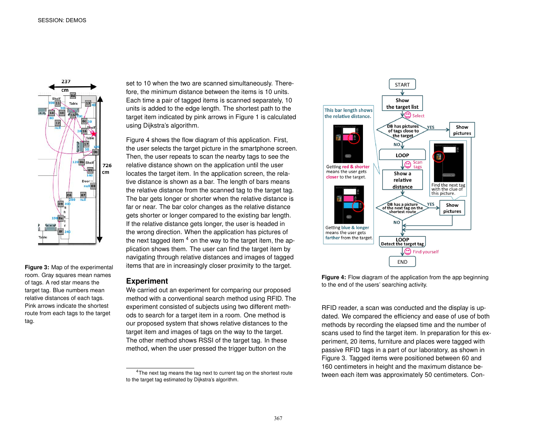

<span id="page-2-2"></span>**Figure 3:** Map of the experimental room. Gray squares mean names of tags. A red star means the target tag. Blue numbers mean relative distances of each tags. Pink arrows indicate the shortest route from each tags to the target tag.

set to 10 when the two are scanned simultaneously. Therefore, the minimum distance between the items is 10 units. Each time a pair of tagged items is scanned separately, 10 units is added to the edge length. The shortest path to the target item indicated by pink arrows in Figure [1](#page-1-3) is calculated using Dijkstra's algorithm.

Figure [4](#page-2-0) shows the flow diagram of this application. First, the user selects the target picture in the smartphone screen. Then, the user repeats to scan the nearby tags to see the relative distance shown on the application until the user locates the target item. In the application screen, the relative distance is shown as a bar. The length of bars means the relative distance from the scanned tag to the target tag. The bar gets longer or shorter when the relative distance is far or near. The bar color changes as the relative distance gets shorter or longer compared to the existing bar length. If the relative distance gets longer, the user is headed in the wrong direction. When the application has pictures of the next tagged item  $4$  on the way to the target item, the application shows them. The user can find the target item by navigating through relative distances and images of tagged items that are in increasingly closer proximity to the target.

#### **Experiment**

We carried out an experiment for comparing our proposed method with a conventional search method using RFID. The experiment consisted of subjects using two different methods to search for a target item in a room. One method is our proposed system that shows relative distances to the target item and images of tags on the way to the target. The other method shows RSSI of the target tag. In these method, when the user pressed the trigger button on the

<span id="page-2-0"></span>

**Figure 4:** Flow diagram of the application from the app beginning to the end of the users' searching activity.

RFID reader, a scan was conducted and the display is updated. We compared the efficiency and ease of use of both methods by recording the elapsed time and the number of scans used to find the target item. In preparation for this experiment, 20 items, furniture and places were tagged with passive RFID tags in a part of our laboratory, as shown in Figure [3.](#page-2-2) Tagged items were positioned between 60 and 160 centimeters in height and the maximum distance between each item was approximately 50 centimeters. Con-

<span id="page-2-1"></span><sup>&</sup>lt;sup>4</sup>The next tag means the tag next to current tag on the shortest route to the target tag estimated by Dijkstra's algorithm.